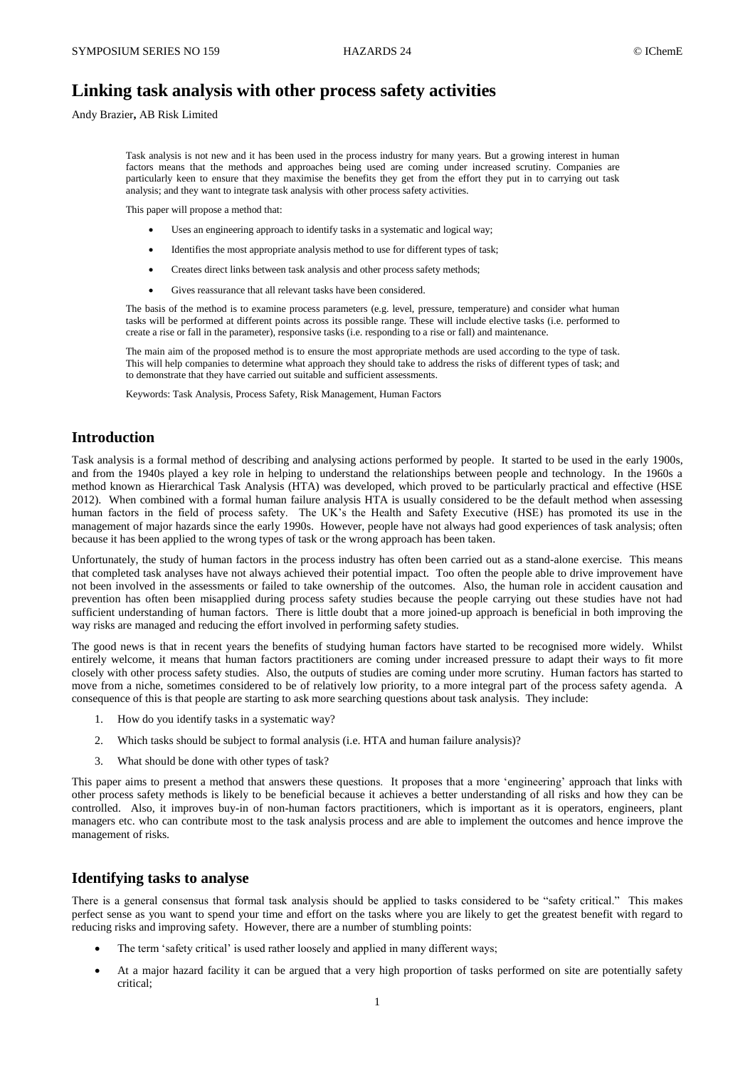# **Linking task analysis with other process safety activities**

Andy Brazier**,** AB Risk Limited

Task analysis is not new and it has been used in the process industry for many years. But a growing interest in human factors means that the methods and approaches being used are coming under increased scrutiny. Companies are particularly keen to ensure that they maximise the benefits they get from the effort they put in to carrying out task analysis; and they want to integrate task analysis with other process safety activities.

This paper will propose a method that:

- Uses an engineering approach to identify tasks in a systematic and logical way;
- Identifies the most appropriate analysis method to use for different types of task;
- Creates direct links between task analysis and other process safety methods;
- Gives reassurance that all relevant tasks have been considered.

The basis of the method is to examine process parameters (e.g. level, pressure, temperature) and consider what human tasks will be performed at different points across its possible range. These will include elective tasks (i.e. performed to create a rise or fall in the parameter), responsive tasks (i.e. responding to a rise or fall) and maintenance.

The main aim of the proposed method is to ensure the most appropriate methods are used according to the type of task. This will help companies to determine what approach they should take to address the risks of different types of task; and to demonstrate that they have carried out suitable and sufficient assessments.

Keywords: Task Analysis, Process Safety, Risk Management, Human Factors

## **Introduction**

Task analysis is a formal method of describing and analysing actions performed by people. It started to be used in the early 1900s, and from the 1940s played a key role in helping to understand the relationships between people and technology. In the 1960s a method known as Hierarchical Task Analysis (HTA) was developed, which proved to be particularly practical and effective (HSE 2012). When combined with a formal human failure analysis HTA is usually considered to be the default method when assessing human factors in the field of process safety. The UK's the Health and Safety Executive (HSE) has promoted its use in the management of major hazards since the early 1990s. However, people have not always had good experiences of task analysis; often because it has been applied to the wrong types of task or the wrong approach has been taken.

Unfortunately, the study of human factors in the process industry has often been carried out as a stand-alone exercise. This means that completed task analyses have not always achieved their potential impact. Too often the people able to drive improvement have not been involved in the assessments or failed to take ownership of the outcomes. Also, the human role in accident causation and prevention has often been misapplied during process safety studies because the people carrying out these studies have not had sufficient understanding of human factors. There is little doubt that a more joined-up approach is beneficial in both improving the way risks are managed and reducing the effort involved in performing safety studies.

The good news is that in recent years the benefits of studying human factors have started to be recognised more widely. Whilst entirely welcome, it means that human factors practitioners are coming under increased pressure to adapt their ways to fit more closely with other process safety studies. Also, the outputs of studies are coming under more scrutiny. Human factors has started to move from a niche, sometimes considered to be of relatively low priority, to a more integral part of the process safety agenda. A consequence of this is that people are starting to ask more searching questions about task analysis. They include:

- 1. How do you identify tasks in a systematic way?
- 2. Which tasks should be subject to formal analysis (i.e. HTA and human failure analysis)?
- 3. What should be done with other types of task?

This paper aims to present a method that answers these questions. It proposes that a more 'engineering' approach that links with other process safety methods is likely to be beneficial because it achieves a better understanding of all risks and how they can be controlled. Also, it improves buy-in of non-human factors practitioners, which is important as it is operators, engineers, plant managers etc. who can contribute most to the task analysis process and are able to implement the outcomes and hence improve the management of risks.

### **Identifying tasks to analyse**

There is a general consensus that formal task analysis should be applied to tasks considered to be "safety critical." This makes perfect sense as you want to spend your time and effort on the tasks where you are likely to get the greatest benefit with regard to reducing risks and improving safety. However, there are a number of stumbling points:

- The term 'safety critical' is used rather loosely and applied in many different ways;
- At a major hazard facility it can be argued that a very high proportion of tasks performed on site are potentially safety critical;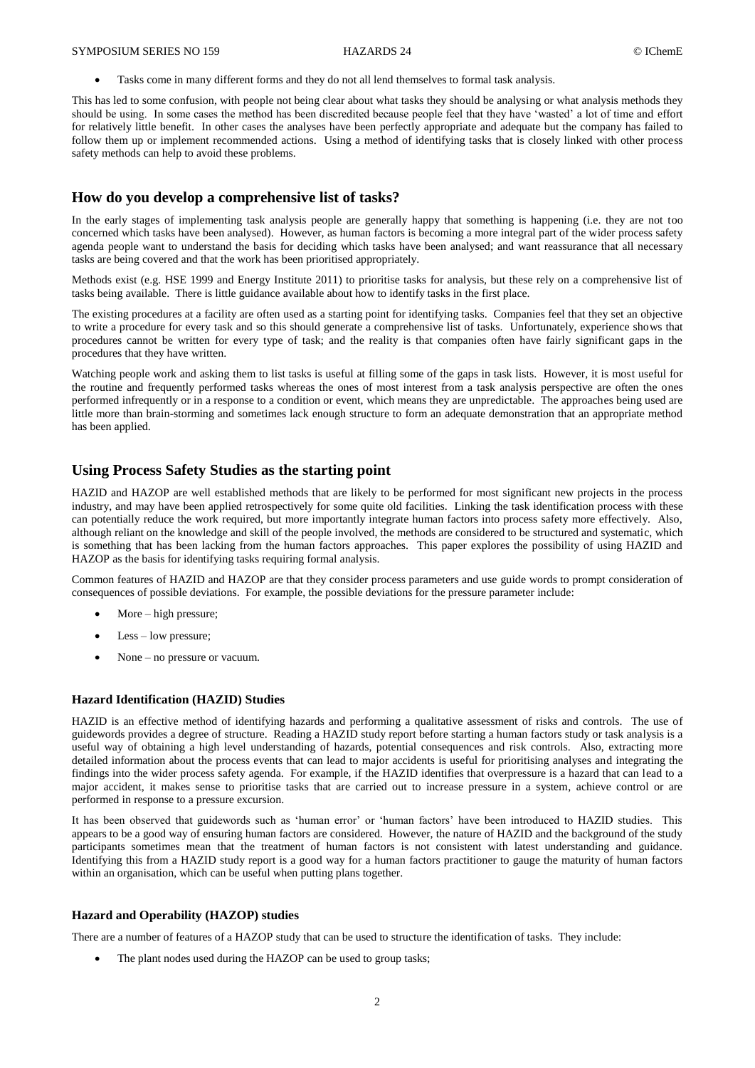Tasks come in many different forms and they do not all lend themselves to formal task analysis.

This has led to some confusion, with people not being clear about what tasks they should be analysing or what analysis methods they should be using. In some cases the method has been discredited because people feel that they have 'wasted' a lot of time and effort for relatively little benefit. In other cases the analyses have been perfectly appropriate and adequate but the company has failed to follow them up or implement recommended actions. Using a method of identifying tasks that is closely linked with other process safety methods can help to avoid these problems.

## **How do you develop a comprehensive list of tasks?**

In the early stages of implementing task analysis people are generally happy that something is happening (i.e. they are not too concerned which tasks have been analysed). However, as human factors is becoming a more integral part of the wider process safety agenda people want to understand the basis for deciding which tasks have been analysed; and want reassurance that all necessary tasks are being covered and that the work has been prioritised appropriately.

Methods exist (e.g. HSE 1999 and Energy Institute 2011) to prioritise tasks for analysis, but these rely on a comprehensive list of tasks being available. There is little guidance available about how to identify tasks in the first place.

The existing procedures at a facility are often used as a starting point for identifying tasks. Companies feel that they set an objective to write a procedure for every task and so this should generate a comprehensive list of tasks. Unfortunately, experience shows that procedures cannot be written for every type of task; and the reality is that companies often have fairly significant gaps in the procedures that they have written.

Watching people work and asking them to list tasks is useful at filling some of the gaps in task lists. However, it is most useful for the routine and frequently performed tasks whereas the ones of most interest from a task analysis perspective are often the ones performed infrequently or in a response to a condition or event, which means they are unpredictable. The approaches being used are little more than brain-storming and sometimes lack enough structure to form an adequate demonstration that an appropriate method has been applied.

## **Using Process Safety Studies as the starting point**

HAZID and HAZOP are well established methods that are likely to be performed for most significant new projects in the process industry, and may have been applied retrospectively for some quite old facilities. Linking the task identification process with these can potentially reduce the work required, but more importantly integrate human factors into process safety more effectively. Also, although reliant on the knowledge and skill of the people involved, the methods are considered to be structured and systematic, which is something that has been lacking from the human factors approaches. This paper explores the possibility of using HAZID and HAZOP as the basis for identifying tasks requiring formal analysis.

Common features of HAZID and HAZOP are that they consider process parameters and use guide words to prompt consideration of consequences of possible deviations. For example, the possible deviations for the pressure parameter include:

- More high pressure;
- Less low pressure;
- None no pressure or vacuum.

### **Hazard Identification (HAZID) Studies**

HAZID is an effective method of identifying hazards and performing a qualitative assessment of risks and controls. The use of guidewords provides a degree of structure. Reading a HAZID study report before starting a human factors study or task analysis is a useful way of obtaining a high level understanding of hazards, potential consequences and risk controls. Also, extracting more detailed information about the process events that can lead to major accidents is useful for prioritising analyses and integrating the findings into the wider process safety agenda. For example, if the HAZID identifies that overpressure is a hazard that can lead to a major accident, it makes sense to prioritise tasks that are carried out to increase pressure in a system, achieve control or are performed in response to a pressure excursion.

It has been observed that guidewords such as 'human error' or 'human factors' have been introduced to HAZID studies. This appears to be a good way of ensuring human factors are considered. However, the nature of HAZID and the background of the study participants sometimes mean that the treatment of human factors is not consistent with latest understanding and guidance. Identifying this from a HAZID study report is a good way for a human factors practitioner to gauge the maturity of human factors within an organisation, which can be useful when putting plans together.

#### **Hazard and Operability (HAZOP) studies**

There are a number of features of a HAZOP study that can be used to structure the identification of tasks. They include:

The plant nodes used during the HAZOP can be used to group tasks;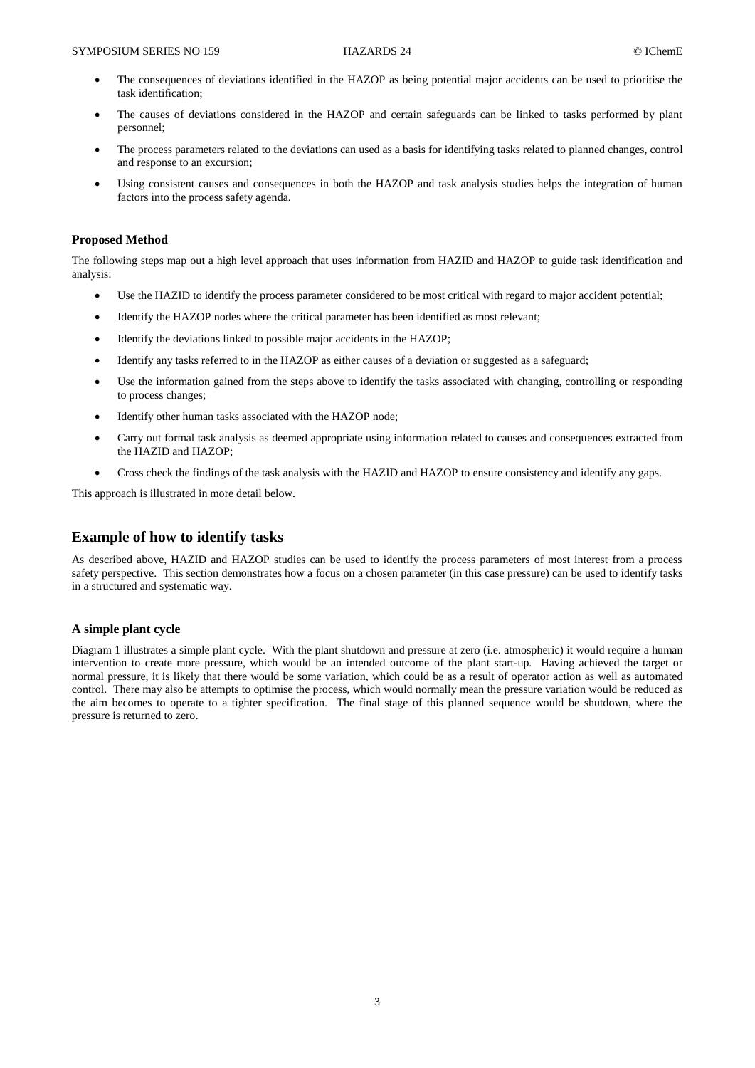- The consequences of deviations identified in the HAZOP as being potential major accidents can be used to prioritise the task identification;
- The causes of deviations considered in the HAZOP and certain safeguards can be linked to tasks performed by plant personnel;
- The process parameters related to the deviations can used as a basis for identifying tasks related to planned changes, control and response to an excursion;
- Using consistent causes and consequences in both the HAZOP and task analysis studies helps the integration of human factors into the process safety agenda.

#### **Proposed Method**

The following steps map out a high level approach that uses information from HAZID and HAZOP to guide task identification and analysis:

- Use the HAZID to identify the process parameter considered to be most critical with regard to major accident potential;
- Identify the HAZOP nodes where the critical parameter has been identified as most relevant;
- Identify the deviations linked to possible major accidents in the HAZOP;
- Identify any tasks referred to in the HAZOP as either causes of a deviation or suggested as a safeguard;
- Use the information gained from the steps above to identify the tasks associated with changing, controlling or responding to process changes;
- Identify other human tasks associated with the HAZOP node;
- Carry out formal task analysis as deemed appropriate using information related to causes and consequences extracted from the HAZID and HAZOP;
- Cross check the findings of the task analysis with the HAZID and HAZOP to ensure consistency and identify any gaps.

This approach is illustrated in more detail below.

## **Example of how to identify tasks**

As described above, HAZID and HAZOP studies can be used to identify the process parameters of most interest from a process safety perspective. This section demonstrates how a focus on a chosen parameter (in this case pressure) can be used to identify tasks in a structured and systematic way.

#### **A simple plant cycle**

Diagram 1 illustrates a simple plant cycle. With the plant shutdown and pressure at zero (i.e. atmospheric) it would require a human intervention to create more pressure, which would be an intended outcome of the plant start-up. Having achieved the target or normal pressure, it is likely that there would be some variation, which could be as a result of operator action as well as automated control. There may also be attempts to optimise the process, which would normally mean the pressure variation would be reduced as the aim becomes to operate to a tighter specification. The final stage of this planned sequence would be shutdown, where the pressure is returned to zero.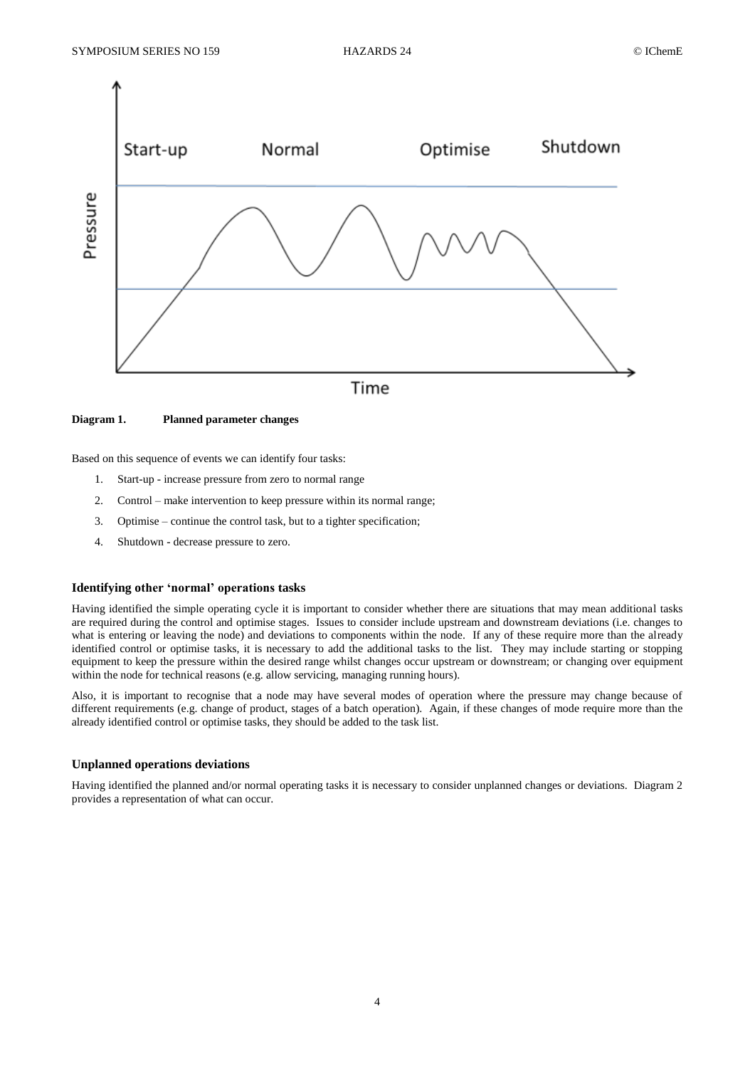

#### **Diagram 1. Planned parameter changes**

Based on this sequence of events we can identify four tasks:

- 1. Start-up increase pressure from zero to normal range
- 2. Control make intervention to keep pressure within its normal range;
- 3. Optimise continue the control task, but to a tighter specification;
- 4. Shutdown decrease pressure to zero.

### **Identifying other 'normal' operations tasks**

Having identified the simple operating cycle it is important to consider whether there are situations that may mean additional tasks are required during the control and optimise stages. Issues to consider include upstream and downstream deviations (i.e. changes to what is entering or leaving the node) and deviations to components within the node. If any of these require more than the already identified control or optimise tasks, it is necessary to add the additional tasks to the list. They may include starting or stopping equipment to keep the pressure within the desired range whilst changes occur upstream or downstream; or changing over equipment within the node for technical reasons (e.g. allow servicing, managing running hours).

Also, it is important to recognise that a node may have several modes of operation where the pressure may change because of different requirements (e.g. change of product, stages of a batch operation). Again, if these changes of mode require more than the already identified control or optimise tasks, they should be added to the task list.

#### **Unplanned operations deviations**

Having identified the planned and/or normal operating tasks it is necessary to consider unplanned changes or deviations. Diagram 2 provides a representation of what can occur.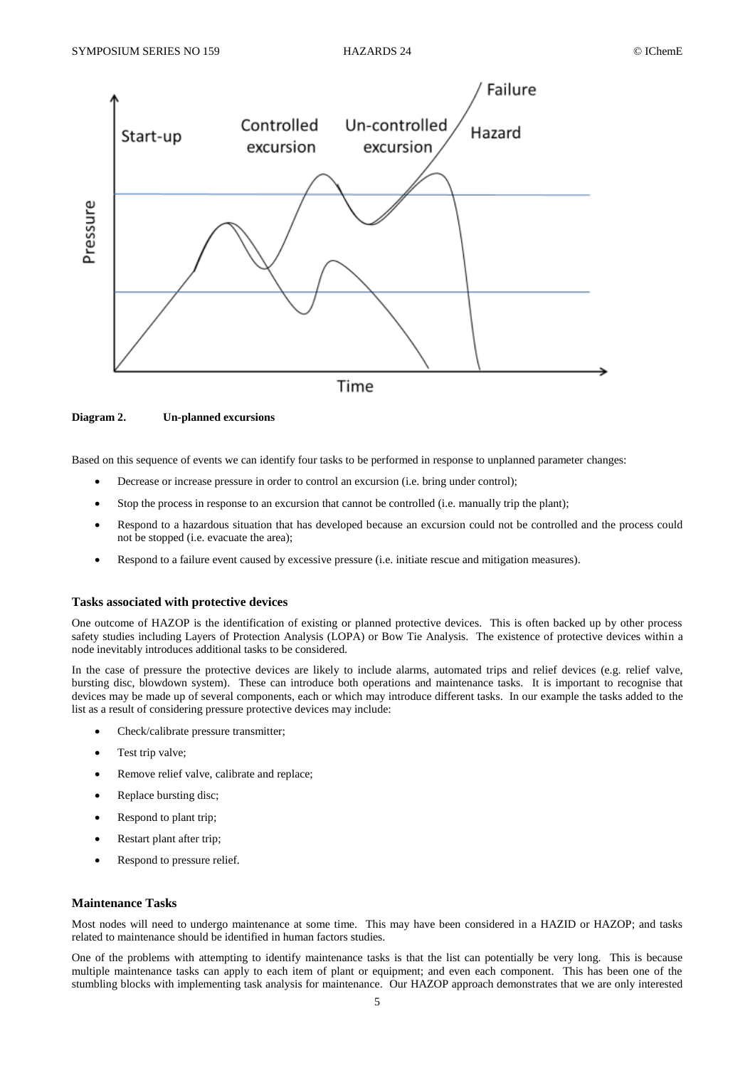

**Diagram 2. Un-planned excursions**

Based on this sequence of events we can identify four tasks to be performed in response to unplanned parameter changes:

- Decrease or increase pressure in order to control an excursion (i.e. bring under control);
- Stop the process in response to an excursion that cannot be controlled (i.e. manually trip the plant);
- Respond to a hazardous situation that has developed because an excursion could not be controlled and the process could not be stopped (i.e. evacuate the area);
- Respond to a failure event caused by excessive pressure (i.e. initiate rescue and mitigation measures).

### **Tasks associated with protective devices**

One outcome of HAZOP is the identification of existing or planned protective devices. This is often backed up by other process safety studies including Layers of Protection Analysis (LOPA) or Bow Tie Analysis. The existence of protective devices within a node inevitably introduces additional tasks to be considered.

In the case of pressure the protective devices are likely to include alarms, automated trips and relief devices (e.g. relief valve, bursting disc, blowdown system). These can introduce both operations and maintenance tasks. It is important to recognise that devices may be made up of several components, each or which may introduce different tasks. In our example the tasks added to the list as a result of considering pressure protective devices may include:

- Check/calibrate pressure transmitter;
- Test trip valve;
- Remove relief valve, calibrate and replace;
- Replace bursting disc;
- Respond to plant trip;
- Restart plant after trip;
- Respond to pressure relief.

#### **Maintenance Tasks**

Most nodes will need to undergo maintenance at some time. This may have been considered in a HAZID or HAZOP; and tasks related to maintenance should be identified in human factors studies.

One of the problems with attempting to identify maintenance tasks is that the list can potentially be very long. This is because multiple maintenance tasks can apply to each item of plant or equipment; and even each component. This has been one of the stumbling blocks with implementing task analysis for maintenance. Our HAZOP approach demonstrates that we are only interested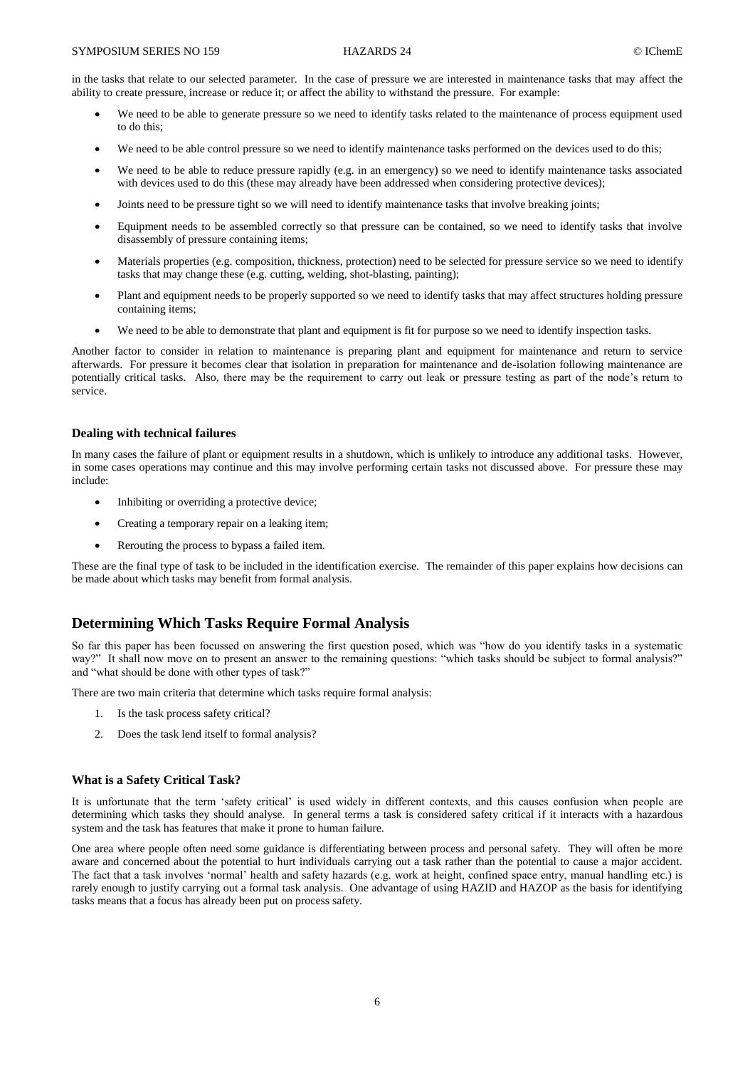in the tasks that relate to our selected parameter. In the case of pressure we are interested in maintenance tasks that may affect the ability to create pressure, increase or reduce it; or affect the ability to withstand the pressure. For example:

- We need to be able to generate pressure so we need to identify tasks related to the maintenance of process equipment used to do this;
- We need to be able control pressure so we need to identify maintenance tasks performed on the devices used to do this;
- We need to be able to reduce pressure rapidly (e.g. in an emergency) so we need to identify maintenance tasks associated with devices used to do this (these may already have been addressed when considering protective devices);
- Joints need to be pressure tight so we will need to identify maintenance tasks that involve breaking joints;
- Equipment needs to be assembled correctly so that pressure can be contained, so we need to identify tasks that involve disassembly of pressure containing items;
- Materials properties (e.g. composition, thickness, protection) need to be selected for pressure service so we need to identify tasks that may change these (e.g. cutting, welding, shot-blasting, painting);
- Plant and equipment needs to be properly supported so we need to identify tasks that may affect structures holding pressure containing items;
- We need to be able to demonstrate that plant and equipment is fit for purpose so we need to identify inspection tasks.

Another factor to consider in relation to maintenance is preparing plant and equipment for maintenance and return to service afterwards. For pressure it becomes clear that isolation in preparation for maintenance and de-isolation following maintenance are potentially critical tasks. Also, there may be the requirement to carry out leak or pressure testing as part of the node's return to service.

#### **Dealing with technical failures**

In many cases the failure of plant or equipment results in a shutdown, which is unlikely to introduce any additional tasks. However, in some cases operations may continue and this may involve performing certain tasks not discussed above. For pressure these may include:

- Inhibiting or overriding a protective device;
- Creating a temporary repair on a leaking item;
- Rerouting the process to bypass a failed item.

These are the final type of task to be included in the identification exercise. The remainder of this paper explains how decisions can be made about which tasks may benefit from formal analysis.

### **Determining Which Tasks Require Formal Analysis**

So far this paper has been focussed on answering the first question posed, which was "how do you identify tasks in a systematic way?" It shall now move on to present an answer to the remaining questions: "which tasks should be subject to formal analysis?" and "what should be done with other types of task?"

There are two main criteria that determine which tasks require formal analysis:

- 1. Is the task process safety critical?
- 2. Does the task lend itself to formal analysis?

#### **What is a Safety Critical Task?**

It is unfortunate that the term 'safety critical' is used widely in different contexts, and this causes confusion when people are determining which tasks they should analyse. In general terms a task is considered safety critical if it interacts with a hazardous system and the task has features that make it prone to human failure.

One area where people often need some guidance is differentiating between process and personal safety. They will often be more aware and concerned about the potential to hurt individuals carrying out a task rather than the potential to cause a major accident. The fact that a task involves 'normal' health and safety hazards (e.g. work at height, confined space entry, manual handling etc.) is rarely enough to justify carrying out a formal task analysis. One advantage of using HAZID and HAZOP as the basis for identifying tasks means that a focus has already been put on process safety.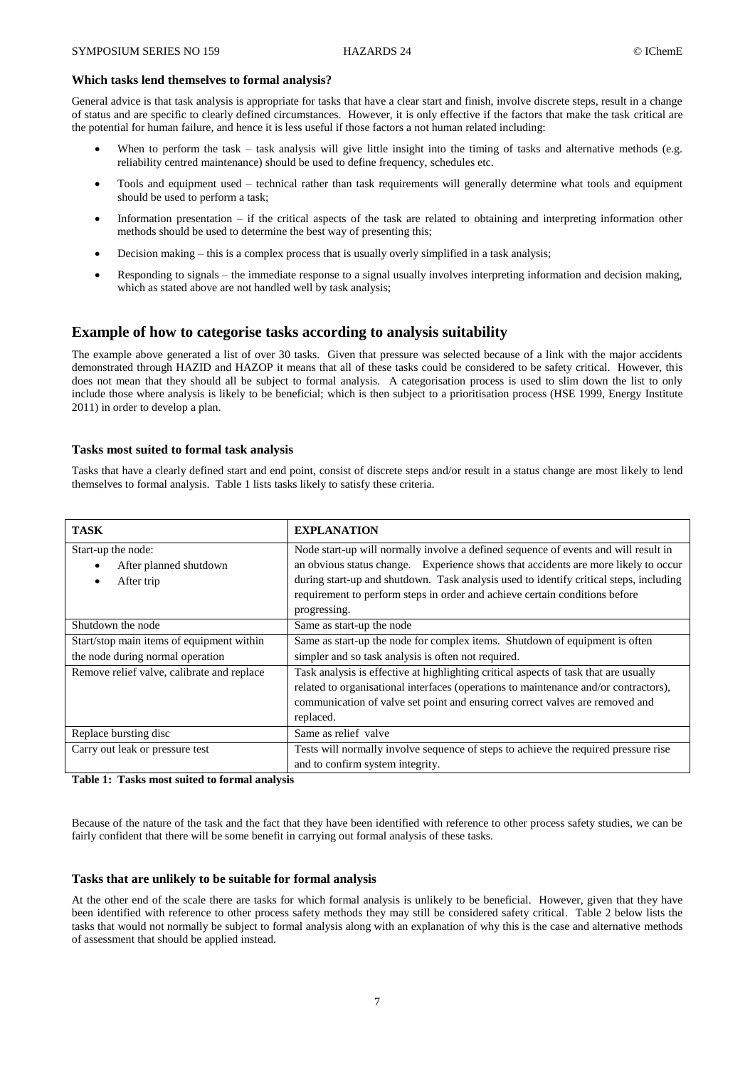#### **Which tasks lend themselves to formal analysis?**

General advice is that task analysis is appropriate for tasks that have a clear start and finish, involve discrete steps, result in a change of status and are specific to clearly defined circumstances. However, it is only effective if the factors that make the task critical are the potential for human failure, and hence it is less useful if those factors a not human related including:

- When to perform the task task analysis will give little insight into the timing of tasks and alternative methods (e.g. reliability centred maintenance) should be used to define frequency, schedules etc.
- Tools and equipment used technical rather than task requirements will generally determine what tools and equipment should be used to perform a task;
- Information presentation if the critical aspects of the task are related to obtaining and interpreting information other methods should be used to determine the best way of presenting this;
- Decision making this is a complex process that is usually overly simplified in a task analysis;
- Responding to signals the immediate response to a signal usually involves interpreting information and decision making, which as stated above are not handled well by task analysis;

## **Example of how to categorise tasks according to analysis suitability**

The example above generated a list of over 30 tasks. Given that pressure was selected because of a link with the major accidents demonstrated through HAZID and HAZOP it means that all of these tasks could be considered to be safety critical. However, this does not mean that they should all be subject to formal analysis. A categorisation process is used to slim down the list to only include those where analysis is likely to be beneficial; which is then subject to a prioritisation process (HSE 1999, Energy Institute 2011) in order to develop a plan.

### **Tasks most suited to formal task analysis**

Tasks that have a clearly defined start and end point, consist of discrete steps and/or result in a status change are most likely to lend themselves to formal analysis. Table 1 lists tasks likely to satisfy these criteria.

| <b>TASK</b>                                | <b>EXPLANATION</b>                                                                     |
|--------------------------------------------|----------------------------------------------------------------------------------------|
| Start-up the node:                         | Node start-up will normally involve a defined sequence of events and will result in    |
| After planned shutdown                     | an obvious status change. Experience shows that accidents are more likely to occur     |
| After trip                                 | during start-up and shutdown. Task analysis used to identify critical steps, including |
|                                            | requirement to perform steps in order and achieve certain conditions before            |
|                                            | progressing.                                                                           |
| Shutdown the node                          | Same as start-up the node                                                              |
| Start/stop main items of equipment within  | Same as start-up the node for complex items. Shutdown of equipment is often            |
| the node during normal operation           | simpler and so task analysis is often not required.                                    |
| Remove relief valve, calibrate and replace | Task analysis is effective at highlighting critical aspects of task that are usually   |
|                                            | related to organisational interfaces (operations to maintenance and/or contractors),   |
|                                            | communication of valve set point and ensuring correct valves are removed and           |
|                                            | replaced.                                                                              |
| Replace bursting disc                      | Same as relief valve                                                                   |
| Carry out leak or pressure test            | Tests will normally involve sequence of steps to achieve the required pressure rise    |
|                                            | and to confirm system integrity.                                                       |

#### **Table 1: Tasks most suited to formal analysis**

Because of the nature of the task and the fact that they have been identified with reference to other process safety studies, we can be fairly confident that there will be some benefit in carrying out formal analysis of these tasks.

#### **Tasks that are unlikely to be suitable for formal analysis**

At the other end of the scale there are tasks for which formal analysis is unlikely to be beneficial. However, given that they have been identified with reference to other process safety methods they may still be considered safety critical. Table 2 below lists the tasks that would not normally be subject to formal analysis along with an explanation of why this is the case and alternative methods of assessment that should be applied instead.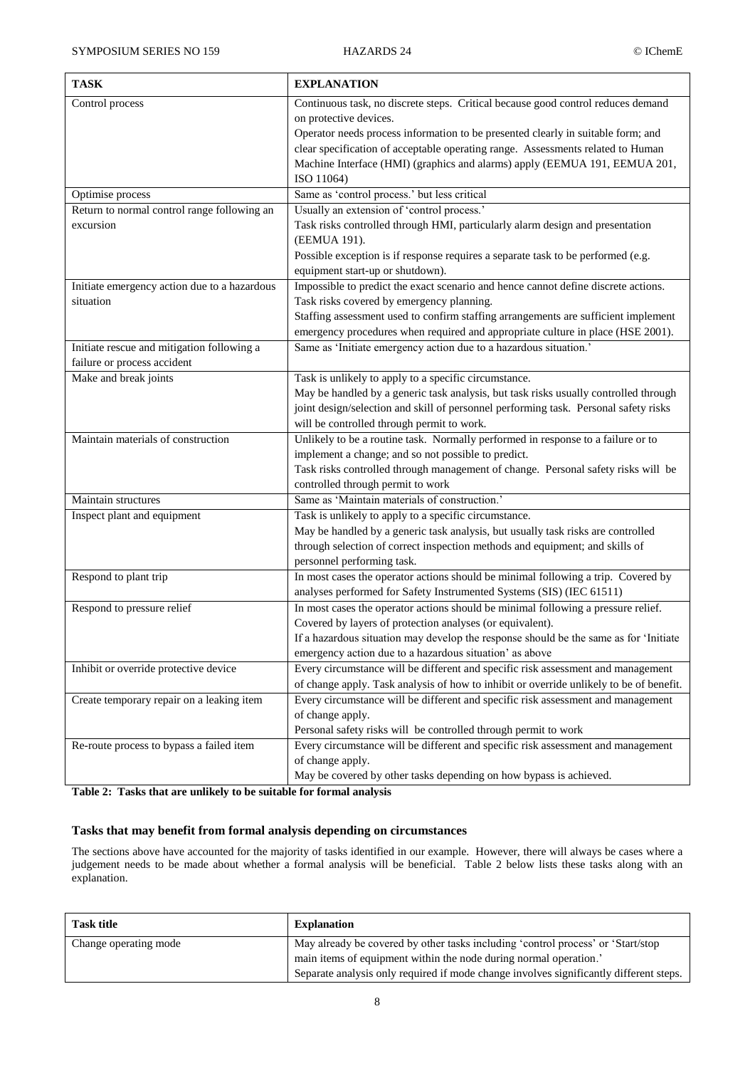| <b>TASK</b>                                                               | <b>EXPLANATION</b>                                                                                                                                                                                                                                                                                                                                                            |
|---------------------------------------------------------------------------|-------------------------------------------------------------------------------------------------------------------------------------------------------------------------------------------------------------------------------------------------------------------------------------------------------------------------------------------------------------------------------|
| Control process                                                           | Continuous task, no discrete steps. Critical because good control reduces demand<br>on protective devices.<br>Operator needs process information to be presented clearly in suitable form; and<br>clear specification of acceptable operating range. Assessments related to Human<br>Machine Interface (HMI) (graphics and alarms) apply (EEMUA 191, EEMUA 201,<br>ISO 11064) |
| Optimise process                                                          | Same as 'control process.' but less critical                                                                                                                                                                                                                                                                                                                                  |
| Return to normal control range following an<br>excursion                  | Usually an extension of 'control process.'<br>Task risks controlled through HMI, particularly alarm design and presentation<br>(EEMUA 191).<br>Possible exception is if response requires a separate task to be performed (e.g.<br>equipment start-up or shutdown).                                                                                                           |
| Initiate emergency action due to a hazardous<br>situation                 | Impossible to predict the exact scenario and hence cannot define discrete actions.<br>Task risks covered by emergency planning.<br>Staffing assessment used to confirm staffing arrangements are sufficient implement<br>emergency procedures when required and appropriate culture in place (HSE 2001).                                                                      |
| Initiate rescue and mitigation following a<br>failure or process accident | Same as 'Initiate emergency action due to a hazardous situation.'                                                                                                                                                                                                                                                                                                             |
| Make and break joints                                                     | Task is unlikely to apply to a specific circumstance.<br>May be handled by a generic task analysis, but task risks usually controlled through<br>joint design/selection and skill of personnel performing task. Personal safety risks<br>will be controlled through permit to work.                                                                                           |
| Maintain materials of construction                                        | Unlikely to be a routine task. Normally performed in response to a failure or to<br>implement a change; and so not possible to predict.<br>Task risks controlled through management of change. Personal safety risks will be<br>controlled through permit to work                                                                                                             |
| Maintain structures                                                       | Same as 'Maintain materials of construction.'                                                                                                                                                                                                                                                                                                                                 |
| Inspect plant and equipment                                               | Task is unlikely to apply to a specific circumstance.<br>May be handled by a generic task analysis, but usually task risks are controlled<br>through selection of correct inspection methods and equipment; and skills of<br>personnel performing task.                                                                                                                       |
| Respond to plant trip                                                     | In most cases the operator actions should be minimal following a trip. Covered by<br>analyses performed for Safety Instrumented Systems (SIS) (IEC 61511)                                                                                                                                                                                                                     |
| Respond to pressure relief                                                | In most cases the operator actions should be minimal following a pressure relief.<br>Covered by layers of protection analyses (or equivalent).<br>If a hazardous situation may develop the response should be the same as for 'Initiate<br>emergency action due to a hazardous situation' as above                                                                            |
| Inhibit or override protective device                                     | Every circumstance will be different and specific risk assessment and management<br>of change apply. Task analysis of how to inhibit or override unlikely to be of benefit.                                                                                                                                                                                                   |
| Create temporary repair on a leaking item                                 | Every circumstance will be different and specific risk assessment and management<br>of change apply.<br>Personal safety risks will be controlled through permit to work                                                                                                                                                                                                       |
| Re-route process to bypass a failed item                                  | Every circumstance will be different and specific risk assessment and management<br>of change apply.<br>May be covered by other tasks depending on how bypass is achieved.                                                                                                                                                                                                    |

**Table 2: Tasks that are unlikely to be suitable for formal analysis**

## **Tasks that may benefit from formal analysis depending on circumstances**

The sections above have accounted for the majority of tasks identified in our example. However, there will always be cases where a judgement needs to be made about whether a formal analysis will be beneficial. Table 2 below lists these tasks along with an explanation.

| Task title            | <b>Explanation</b>                                                                     |
|-----------------------|----------------------------------------------------------------------------------------|
| Change operating mode | May already be covered by other tasks including 'control process' or 'Start/stop       |
|                       | main items of equipment within the node during normal operation.'                      |
|                       | Separate analysis only required if mode change involves significantly different steps. |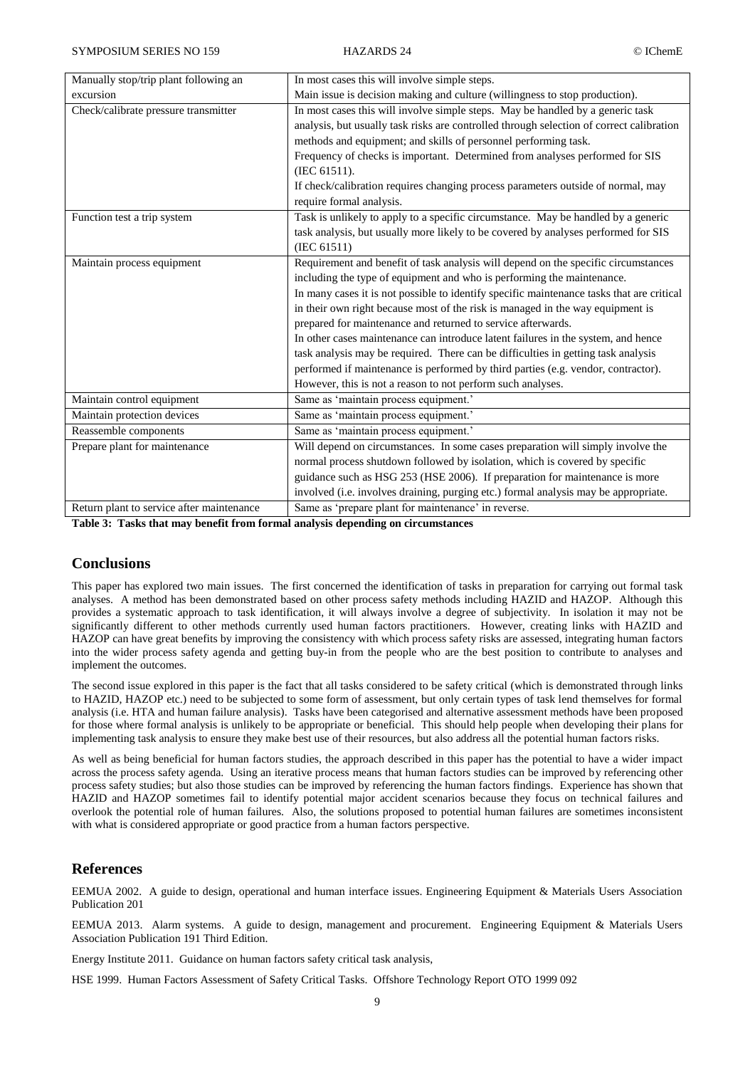| Manually stop/trip plant following an     | In most cases this will involve simple steps.                                             |
|-------------------------------------------|-------------------------------------------------------------------------------------------|
| excursion                                 | Main issue is decision making and culture (willingness to stop production).               |
| Check/calibrate pressure transmitter      | In most cases this will involve simple steps. May be handled by a generic task            |
|                                           | analysis, but usually task risks are controlled through selection of correct calibration  |
|                                           | methods and equipment; and skills of personnel performing task.                           |
|                                           | Frequency of checks is important. Determined from analyses performed for SIS              |
|                                           | (IEC 61511).                                                                              |
|                                           | If check/calibration requires changing process parameters outside of normal, may          |
|                                           | require formal analysis.                                                                  |
| Function test a trip system               | Task is unlikely to apply to a specific circumstance. May be handled by a generic         |
|                                           | task analysis, but usually more likely to be covered by analyses performed for SIS        |
|                                           | (IEC 61511)                                                                               |
| Maintain process equipment                | Requirement and benefit of task analysis will depend on the specific circumstances        |
|                                           | including the type of equipment and who is performing the maintenance.                    |
|                                           | In many cases it is not possible to identify specific maintenance tasks that are critical |
|                                           | in their own right because most of the risk is managed in the way equipment is            |
|                                           | prepared for maintenance and returned to service afterwards.                              |
|                                           | In other cases maintenance can introduce latent failures in the system, and hence         |
|                                           | task analysis may be required. There can be difficulties in getting task analysis         |
|                                           | performed if maintenance is performed by third parties (e.g. vendor, contractor).         |
|                                           | However, this is not a reason to not perform such analyses.                               |
| Maintain control equipment                | Same as 'maintain process equipment.'                                                     |
| Maintain protection devices               | Same as 'maintain process equipment.'                                                     |
| Reassemble components                     | Same as 'maintain process equipment.'                                                     |
| Prepare plant for maintenance             | Will depend on circumstances. In some cases preparation will simply involve the           |
|                                           | normal process shutdown followed by isolation, which is covered by specific               |
|                                           | guidance such as HSG 253 (HSE 2006). If preparation for maintenance is more               |
|                                           | involved (i.e. involves draining, purging etc.) formal analysis may be appropriate.       |
| Return plant to service after maintenance | Same as 'prepare plant for maintenance' in reverse.                                       |

**Table 3: Tasks that may benefit from formal analysis depending on circumstances**

## **Conclusions**

This paper has explored two main issues. The first concerned the identification of tasks in preparation for carrying out formal task analyses. A method has been demonstrated based on other process safety methods including HAZID and HAZOP. Although this provides a systematic approach to task identification, it will always involve a degree of subjectivity. In isolation it may not be significantly different to other methods currently used human factors practitioners. However, creating links with HAZID and HAZOP can have great benefits by improving the consistency with which process safety risks are assessed, integrating human factors into the wider process safety agenda and getting buy-in from the people who are the best position to contribute to analyses and implement the outcomes.

The second issue explored in this paper is the fact that all tasks considered to be safety critical (which is demonstrated through links to HAZID, HAZOP etc.) need to be subjected to some form of assessment, but only certain types of task lend themselves for formal analysis (i.e. HTA and human failure analysis). Tasks have been categorised and alternative assessment methods have been proposed for those where formal analysis is unlikely to be appropriate or beneficial. This should help people when developing their plans for implementing task analysis to ensure they make best use of their resources, but also address all the potential human factors risks.

As well as being beneficial for human factors studies, the approach described in this paper has the potential to have a wider impact across the process safety agenda. Using an iterative process means that human factors studies can be improved by referencing other process safety studies; but also those studies can be improved by referencing the human factors findings. Experience has shown that HAZID and HAZOP sometimes fail to identify potential major accident scenarios because they focus on technical failures and overlook the potential role of human failures. Also, the solutions proposed to potential human failures are sometimes inconsistent with what is considered appropriate or good practice from a human factors perspective.

## **References**

EEMUA 2002. A guide to design, operational and human interface issues. Engineering Equipment & Materials Users Association Publication 201

EEMUA 2013. Alarm systems. A guide to design, management and procurement. Engineering Equipment & Materials Users Association Publication 191 Third Edition.

Energy Institute 2011. Guidance on human factors safety critical task analysis,

HSE 1999. Human Factors Assessment of Safety Critical Tasks. Offshore Technology Report OTO 1999 092